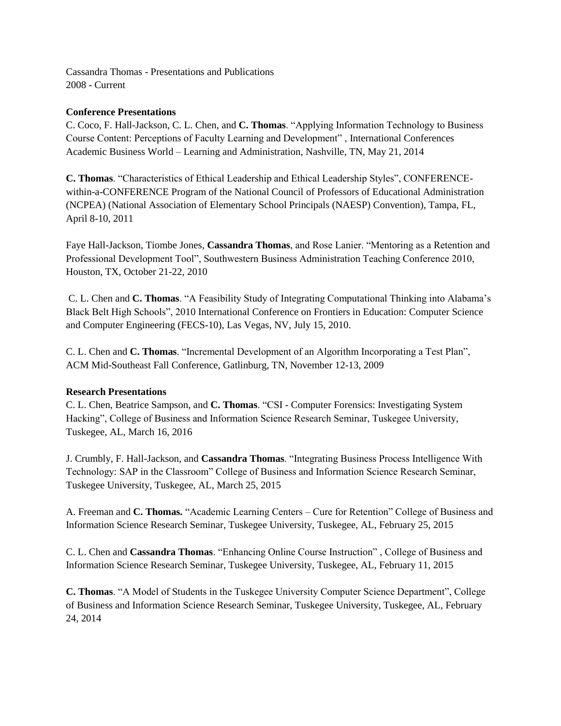Cassandra Thomas - Presentations and Publications 2008 - Current

## **Conference Presentations**

C. Coco, F. Hall-Jackson, C. L. Chen, and **C. Thomas**. "Applying Information Technology to Business Course Content: Perceptions of Faculty Learning and Development" , International Conferences Academic Business World – Learning and Administration, Nashville, TN, May 21, 2014

**C. Thomas**. "Characteristics of Ethical Leadership and Ethical Leadership Styles", CONFERENCEwithin-a-CONFERENCE Program of the National Council of Professors of Educational Administration (NCPEA) (National Association of Elementary School Principals (NAESP) Convention), Tampa, FL, April 8-10, 2011

Faye Hall-Jackson, Tiombe Jones, **Cassandra Thomas**, and Rose Lanier. "Mentoring as a Retention and Professional Development Tool", Southwestern Business Administration Teaching Conference 2010, Houston, TX, October 21-22, 2010

C. L. Chen and **C. Thomas**. "A Feasibility Study of Integrating Computational Thinking into Alabama's Black Belt High Schools", 2010 International Conference on Frontiers in Education: Computer Science and Computer Engineering (FECS-10), Las Vegas, NV, July 15, 2010.

C. L. Chen and **C. Thomas**. "Incremental Development of an Algorithm Incorporating a Test Plan", ACM Mid-Southeast Fall Conference, Gatlinburg, TN, November 12-13, 2009

## **Research Presentations**

C. L. Chen, Beatrice Sampson, and **C. Thomas**. "CSI - Computer Forensics: Investigating System Hacking", College of Business and Information Science Research Seminar, Tuskegee University, Tuskegee, AL, March 16, 2016

J. Crumbly, F. Hall-Jackson, and **Cassandra Thomas**. "Integrating Business Process Intelligence With Technology: SAP in the Classroom" College of Business and Information Science Research Seminar, Tuskegee University, Tuskegee, AL, March 25, 2015

A. Freeman and **C. Thomas.** "Academic Learning Centers – Cure for Retention" College of Business and Information Science Research Seminar, Tuskegee University, Tuskegee, AL, February 25, 2015

C. L. Chen and **Cassandra Thomas**. "Enhancing Online Course Instruction" , College of Business and Information Science Research Seminar, Tuskegee University, Tuskegee, AL, February 11, 2015

**C. Thomas**. "A Model of Students in the Tuskegee University Computer Science Department", College of Business and Information Science Research Seminar, Tuskegee University, Tuskegee, AL, February 24, 2014